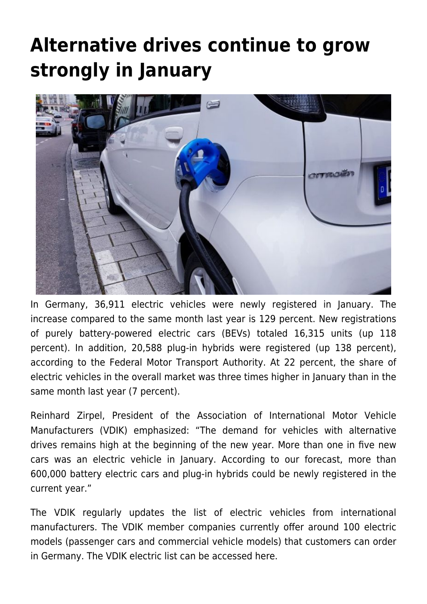## **[Alternative drives continue to grow](https://www.vdik.de/en/2021/alternative-drives-continue-to-grow-strongly-in-january/) [strongly in January](https://www.vdik.de/en/2021/alternative-drives-continue-to-grow-strongly-in-january/)**



In Germany, 36,911 electric vehicles were newly registered in January. The increase compared to the same month last year is 129 percent. New registrations of purely battery-powered electric cars (BEVs) totaled 16,315 units (up 118 percent). In addition, 20,588 plug-in hybrids were registered (up 138 percent), according to the Federal Motor Transport Authority. At 22 percent, the share of electric vehicles in the overall market was three times higher in January than in the same month last year (7 percent).

Reinhard Zirpel, President of the Association of International Motor Vehicle Manufacturers (VDIK) emphasized: "The demand for vehicles with alternative drives remains high at the beginning of the new year. More than one in five new cars was an electric vehicle in January. According to our forecast, more than 600,000 battery electric cars and plug-in hybrids could be newly registered in the current year."

The VDIK regularly updates the list of electric vehicles from international manufacturers. The VDIK member companies currently offer around 100 electric models (passenger cars and commercial vehicle models) that customers can order in Germany. The VDIK electric list can be accessed here.